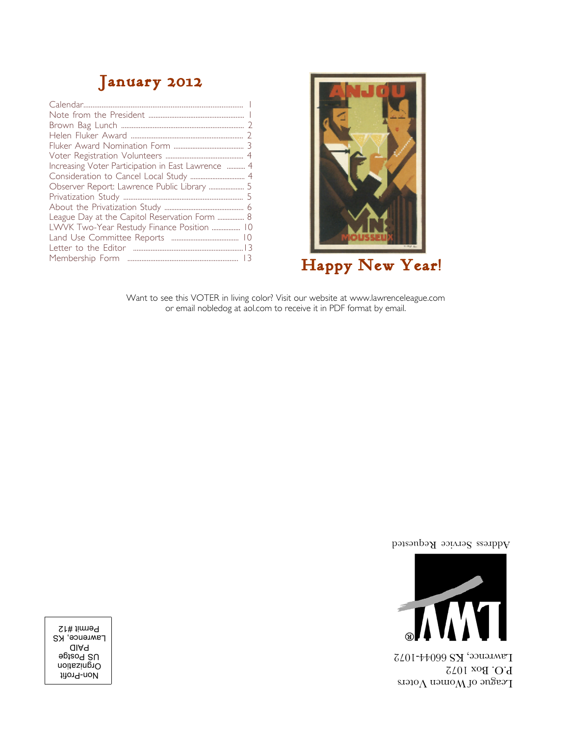## **January 2012**

| Increasing Voter Participation in East Lawrence  4 |  |
|----------------------------------------------------|--|
|                                                    |  |
| Observer Report: Lawrence Public Library  5        |  |
|                                                    |  |
|                                                    |  |
| League Day at the Capitol Reservation Form  8      |  |
| LWVK Two-Year Restudy Finance Position  10         |  |
|                                                    |  |
|                                                    |  |
|                                                    |  |
|                                                    |  |



Want to see this VOTER in living color? Visit our website at www.lawrenceleague.com or email nobledog at aol.com to receive it in PDF format by email.

Address Service Requested



League of Women Voters 10. Box 1072 Lawrence, KS 66044-1072

Non-Profit Orgnization Postge PAID Lawrence, KS Permit #12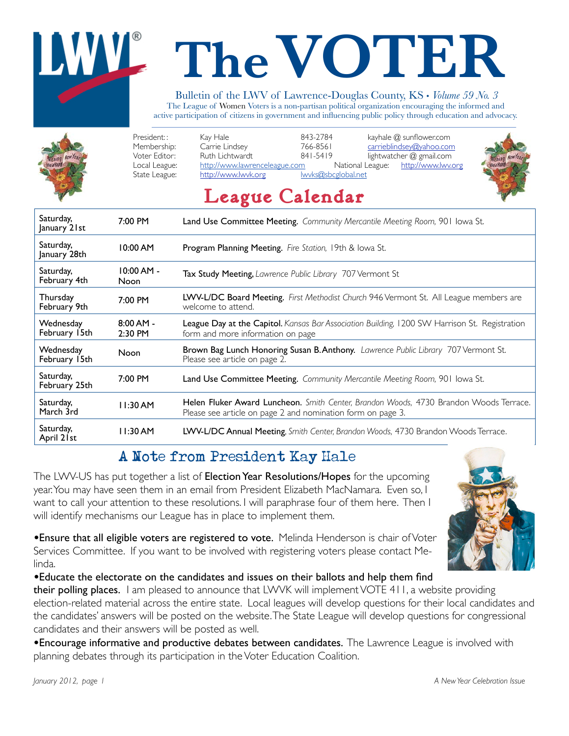# **The VOTER**

#### Bulletin of the LWV of Lawrence-Douglas County, KS • *Volume 59 No. 3*

The League of Women Voters is a non-partisan political organization encouraging the informed and active participation of citizens in government and influencing public policy through education and advocacy.



| January 21st               |                             |                                                                                                                                                      |  |
|----------------------------|-----------------------------|------------------------------------------------------------------------------------------------------------------------------------------------------|--|
| Saturday,<br>January 28th  | 10:00 AM                    | <b>Program Planning Meeting.</b> Fire Station, 19th & Iowa St.                                                                                       |  |
| Saturday,<br>February 4th  | $10:00$ AM -<br><b>Noon</b> | <b>Tax Study Meeting,</b> Lawrence Public Library 707 Vermont St                                                                                     |  |
| Thursday<br>February 9th   | 7:00 PM                     | LWV-L/DC Board Meeting. First Methodist Church 946 Vermont St. All League members are<br>welcome to attend.                                          |  |
| Wednesday<br>February 15th | $8:00$ AM -<br>2:30 PM      | <b>League Day at the Capitol.</b> Kansas Bar Association Building, 1200 SW Harrison St. Registration<br>form and more information on page            |  |
| Wednesday<br>February 15th | Noon                        | Brown Bag Lunch Honoring Susan B. Anthony. Lawrence Public Library 707 Vermont St.<br>Please see article on page 2.                                  |  |
| Saturday,<br>February 25th | 7:00 PM                     | Land Use Committee Meeting. Community Mercantile Meeting Room, 901 Iowa St.                                                                          |  |
| Saturday,<br>March 3rd     | 11:30AM                     | Helen Fluker Award Luncheon. Smith Center, Brandon Woods, 4730 Brandon Woods Terrace.<br>Please see article on page 2 and nomination form on page 3. |  |
| Saturday,<br>April 21st    | 11:30AM                     | LWV-L/DC Annual Meeting, Smith Center, Brandon Woods, 4730 Brandon Woods Terrace.                                                                    |  |

## A Note from President Kay Hale

The LWV-US has put together a list of Election Year Resolutions/Hopes for the upcoming year. You may have seen them in an email from President Elizabeth MacNamara. Even so, I want to call your attention to these resolutions. I will paraphrase four of them here. Then I will identify mechanisms our League has in place to implement them.

*•*Ensure that all eligible voters are registered to vote. Melinda Henderson is chair of Voter Services Committee. If you want to be involved with registering voters please contact Melinda.

*•*Educate the electorate on the candidates and issues on their ballots and help them find

their polling places. I am pleased to announce that LWVK will implement VOTE 411, a website providing election-related material across the entire state. Local leagues will develop questions for their local candidates and the candidates' answers will be posted on the website. The State League will develop questions for congressional candidates and their answers will be posted as well.

**•**Encourage informative and productive debates between candidates. The Lawrence League is involved with planning debates through its participation in the Voter Education Coalition.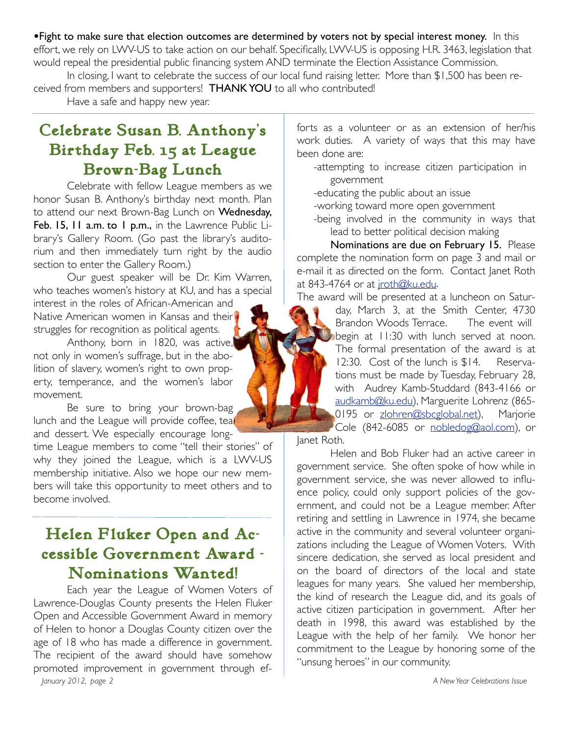**•**Fight to make sure that election outcomes are determined by voters not by special interest money. In this effort, we rely on LWV-US to take action on our behalf. Specifically, LWV-US is opposing H.R. 3463, legislation that would repeal the presidential public financing system AND terminate the Election Assistance Commission.

In closing, I want to celebrate the success of our local fund raising letter. More than \$1,500 has been received from members and supporters! THANK YOU to all who contributed!

Have a safe and happy new year.

i<br>İ

## **Celebrate Susan B. Anthony's Birthday Feb. 15 at League Brown-Bag Lunch**

Celebrate with fellow League members as we honor Susan B. Anthony's birthday next month. Plan to attend our next Brown-Bag Lunch on Wednesday, Feb. 15, 11 a.m. to 1 p.m., in the Lawrence Public Library's Gallery Room. (Go past the library's auditorium and then immediately turn right by the audio section to enter the Gallery Room.)

Our guest speaker will be Dr. Kim Warren, who teaches women's history at KU, and has a special interest in the roles of African-American and

Native American women in Kansas and their struggles for recognition as political agents.

Anthony, born in 1820, was active, not only in women's suffrage, but in the abolition of slavery, women's right to own property, temperance, and the women's labor movement.

Be sure to bring your brown-bag lunch and the League will provide coffee, teal and dessert. We especially encourage long-

time League members to come "tell their stories" of why they joined the League, which is a LWV-US membership initiative. Also we hope our new members will take this opportunity to meet others and to become involved.

## **Helen Fluker Open and Accessible Government Award - Nominations Wanted!**

Each year the League of Women Voters of Lawrence-Douglas County presents the Helen Fluker Open and Accessible Government Award in memory of Helen to honor a Douglas County citizen over the age of 18 who has made a difference in government. The recipient of the award should have somehow promoted improvement in government through ef-*January 2012, page 2 A New Year Celebrations Issue* 

forts as a volunteer or as an extension of her/his work duties. A variety of ways that this may have been done are:

- -attempting to increase citizen participation in government
- -educating the public about an issue
- -working toward more open government
- -being involved in the community in ways that lead to better political decision making

Nominations are due on February 15. Please complete the nomination form on page 3 and mail or e-mail it as directed on the form. Contact Janet Roth at 843-4764 or at jroth@ku.edu.

The award will be presented at a luncheon on Saturday, March 3, at the Smith Center, 4730 Brandon Woods Terrace. The event will begin at 11:30 with lunch served at noon. The formal presentation of the award is at 12:30. Cost of the lunch is \$14. Reservations must be made by Tuesday, February 28, with Audrey Kamb-Studdard (843-4166 or audkamb@ku.edu), Marguerite Lohrenz (865-0195 or zlohren@sbcglobal.net), Marjorie Cole (842-6085 or nobledog@aol.com), or

Janet Roth.

Helen and Bob Fluker had an active career in government service. She often spoke of how while in government service, she was never allowed to influence policy, could only support policies of the government, and could not be a League member. After retiring and settling in Lawrence in 1974, she became active in the community and several volunteer organizations including the League of Women Voters. With sincere dedication, she served as local president and on the board of directors of the local and state leagues for many years. She valued her membership, the kind of research the League did, and its goals of active citizen participation in government. After her death in 1998, this award was established by the League with the help of her family. We honor her commitment to the League by honoring some of the "unsung heroes" in our community.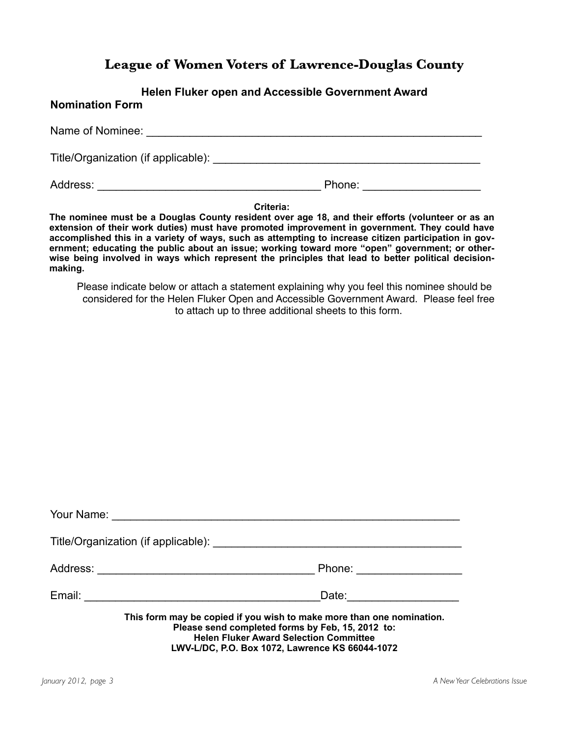### **League of Women Voters of Lawrence-Douglas County**

#### **Helen Fluker open and Accessible Government Award**

#### **Nomination Form**

Name of Nominee:  $\blacksquare$ Title/Organization (if applicable): \_\_\_\_\_\_\_\_\_\_\_\_\_\_\_\_\_\_\_\_\_\_\_\_\_\_\_\_\_\_\_\_\_\_\_\_\_\_\_\_\_\_\_ Address: \_\_\_\_\_\_\_\_\_\_\_\_\_\_\_\_\_\_\_\_\_\_\_\_\_\_\_\_\_\_\_\_\_\_\_\_ Phone: \_\_\_\_\_\_\_\_\_\_\_\_\_\_\_\_\_\_\_

**Criteria:**

 **wise being involved in ways which represent the principles that lead to better political decision-The nominee must be a Douglas County resident over age 18, and their efforts (volunteer or as an extension of their work duties) must have promoted improvement in government. They could have accomplished this in a variety of ways, such as attempting to increase citizen participation in government; educating the public about an issue; working toward more "open" government; or othermaking.**

Please indicate below or attach a statement explaining why you feel this nominee should be considered for the Helen Fluker Open and Accessible Government Award. Please feel free to attach up to three additional sheets to this form.

| Your Name:                                                                                                                                                                                                                    |                          |  |  |
|-------------------------------------------------------------------------------------------------------------------------------------------------------------------------------------------------------------------------------|--------------------------|--|--|
|                                                                                                                                                                                                                               |                          |  |  |
|                                                                                                                                                                                                                               | Phone: <u>__________</u> |  |  |
| Email:                                                                                                                                                                                                                        | Date:                    |  |  |
| This form may be copied if you wish to make more than one nomination.<br>Please send completed forms by Feb, 15, 2012 to:<br><b>Helen Fluker Award Selection Committee</b><br>LWV-L/DC, P.O. Box 1072, Lawrence KS 66044-1072 |                          |  |  |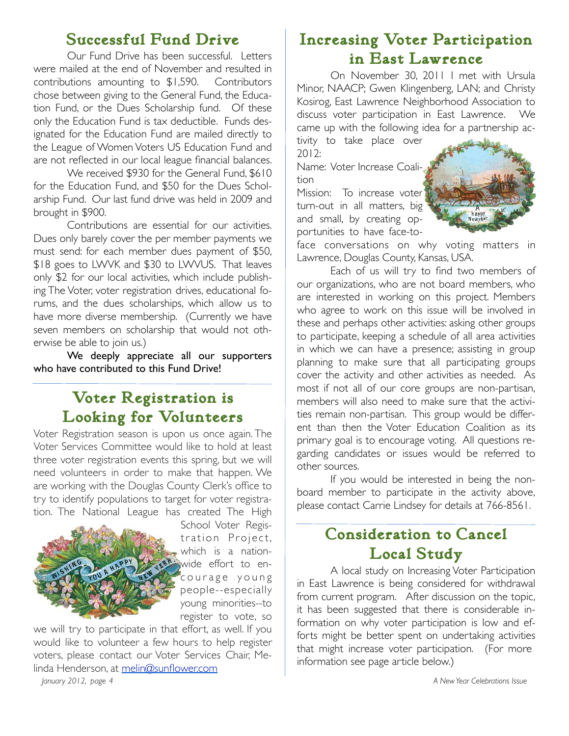## **Successful Fund Drive**

Our Fund Drive has been successful. Letters were mailed at the end of November and resulted in contributions amounting to \$1,590. Contributors chose between giving to the General Fund, the Education Fund, or the Dues Scholarship fund. Of these only the Education Fund is tax deductible. Funds designated for the Education Fund are mailed directly to the League of Women Voters US Education Fund and are not reflected in our local league financial balances.

We received \$930 for the General Fund, \$610 for the Education Fund, and \$50 for the Dues Scholarship Fund. Our last fund drive was held in 2009 and brought in \$900.

Contributions are essential for our activities. Dues only barely cover the per member payments we must send: for each member dues payment of \$50, \$18 goes to LWVK and \$30 to LWVUS. That leaves only \$2 for our local activities, which include publishing The Voter, voter registration drives, educational forums, and the dues scholarships, which allow us to have more diverse membership. (Currently we have seven members on scholarship that would not otherwise be able to join us.)

We deeply appreciate all our supporters who have contributed to this Fund Drive!

## **Voter Registration is Looking for Volunteers**

Voter Registration season is upon us once again. The Voter Services Committee would like to hold at least three voter registration events this spring, but we will need volunteers in order to make that happen. We are working with the Douglas County Clerk's office to try to identify populations to target for voter registration. The National League has created The High



School Voter Registration Project, which is a nationwide effort to encourage young people--especially young minorities--to register to vote, so

we will try to participate in that effort, as well. If you would like to volunteer a few hours to help register voters, please contact our Voter Services Chair, Melinda Henderson, at melin@sunflower.com *January 2012, page 4 A New Year Celebrations Issue* 

## **Increasing Voter Participation in East Lawrence**

On November 30, 2011 I met with Ursula Minor, NAACP; Gwen Klingenberg, LAN; and Christy Kosirog, East Lawrence Neighborhood Association to discuss voter participation in East Lawrence. We came up with the following idea for a partnership ac-

tivity to take place over  $2012.$ 

Name: Voter Increase Coalition

Mission: To increase voter turn-out in all matters, big and small, by creating opportunities to have face-to-



face conversations on why voting matters in Lawrence, Douglas County, Kansas, USA.

Each of us will try to find two members of our organizations, who are not board members, who are interested in working on this project. Members who agree to work on this issue will be involved in these and perhaps other activities: asking other groups to participate, keeping a schedule of all area activities in which we can have a presence; assisting in group planning to make sure that all participating groups cover the activity and other activities as needed. As most if not all of our core groups are non-partisan, members will also need to make sure that the activities remain non-partisan. This group would be different than then the Voter Education Coalition as its primary goal is to encourage voting. All questions regarding candidates or issues would be referred to other sources.

If you would be interested in being the nonboard member to participate in the activity above, please contact Carrie Lindsey for details at 766-8561.

## **Consideration to Cancel Local Study**

A local study on Increasing Voter Participation in East Lawrence is being considered for withdrawal from current program. After discussion on the topic, it has been suggested that there is considerable information on why voter participation is low and efforts might be better spent on undertaking activities that might increase voter participation. (For more information see page article below.)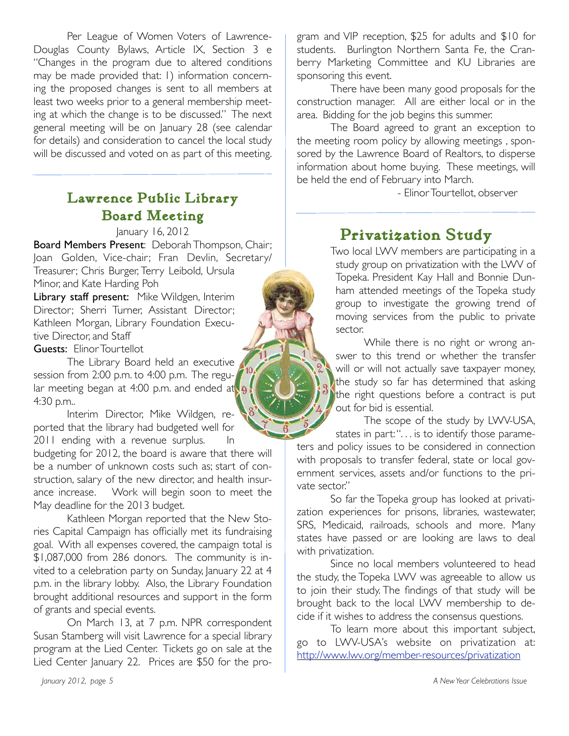Per League of Women Voters of Lawrence-Douglas County Bylaws, Article IX, Section 3 e "Changes in the program due to altered conditions may be made provided that: 1) information concerning the proposed changes is sent to all members at least two weeks prior to a general membership meeting at which the change is to be discussed." The next general meeting will be on January 28 (see calendar for details) and consideration to cancel the local study will be discussed and voted on as part of this meeting.

## **Lawrence Public Library Board Meeting**

January 16, 2012

Board Members Present: Deborah Thompson, Chair; Joan Golden, Vice-chair; Fran Devlin, Secretary/ Treasurer; Chris Burger, Terry Leibold, Ursula Minor, and Kate Harding Poh

Library staff present: Mike Wildgen, Interim Director; Sherri Turner, Assistant Director; Kathleen Morgan, Library Foundation Executive Director, and Staff

Guests: Elinor Tourtellot

The Library Board held an executive session from 2:00 p.m. to 4:00 p.m. The regular meeting began at 4:00 p.m. and ended at 4:30 p.m..

Interim Director, Mike Wildgen, reported that the library had budgeted well for 2011 ending with a revenue surplus. In

budgeting for 2012, the board is aware that there will be a number of unknown costs such as; start of construction, salary of the new director, and health insurance increase. Work will begin soon to meet the May deadline for the 2013 budget.

Kathleen Morgan reported that the New Stories Capital Campaign has officially met its fundraising goal. With all expenses covered, the campaign total is \$1,087,000 from 286 donors. The community is invited to a celebration party on Sunday, January 22 at 4 p.m. in the library lobby. Also, the Library Foundation brought additional resources and support in the form of grants and special events.

On March 13, at 7 p.m. NPR correspondent Susan Stamberg will visit Lawrence for a special library program at the Lied Center. Tickets go on sale at the Lied Center January 22. Prices are \$50 for the program and VIP reception, \$25 for adults and \$10 for students. Burlington Northern Santa Fe, the Cranberry Marketing Committee and KU Libraries are sponsoring this event.

There have been many good proposals for the construction manager. All are either local or in the area. Bidding for the job begins this summer.

The Board agreed to grant an exception to the meeting room policy by allowing meetings , sponsored by the Lawrence Board of Realtors, to disperse information about home buying. These meetings, will be held the end of February into March.

- Elinor Tourtellot, observer

## **Privatization Study**

Two local LWV members are participating in a study group on privatization with the LWV of Topeka. President Kay Hall and Bonnie Dunham attended meetings of the Topeka study group to investigate the growing trend of moving services from the public to private sector.

While there is no right or wrong answer to this trend or whether the transfer will or will not actually save taxpayer money, the study so far has determined that asking the right questions before a contract is put out for bid is essential.

The scope of the study by LWV-USA, states in part: ". . . is to identify those parameters and policy issues to be considered in connection with proposals to transfer federal, state or local government services, assets and/or functions to the private sector."

So far the Topeka group has looked at privatization experiences for prisons, libraries, wastewater, SRS, Medicaid, railroads, schools and more. Many states have passed or are looking are laws to deal with privatization.

Since no local members volunteered to head the study, the Topeka LWV was agreeable to allow us to join their study. The findings of that study will be brought back to the local LWV membership to decide if it wishes to address the consensus questions.

To learn more about this important subject, go to LWV-USA's website on privatization at: http://www.lwv.org/member-resources/privatization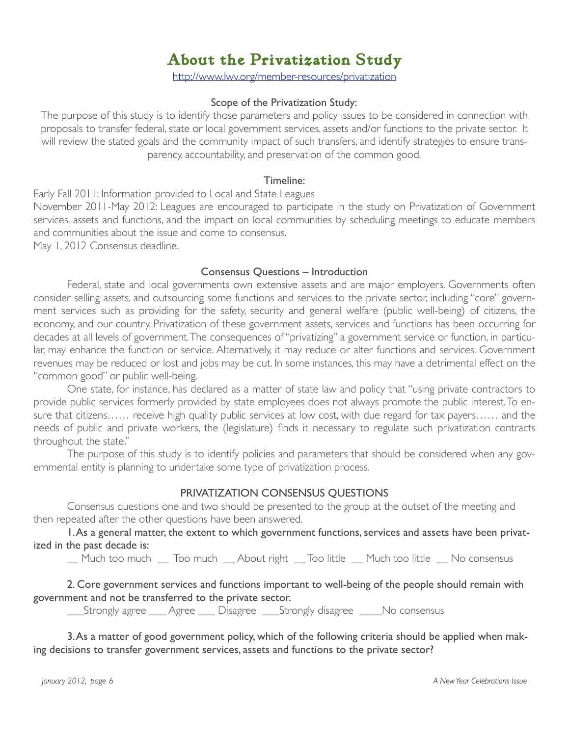## **About the Privatization Study**

http://www.lwv.org/member-resources/privatization

#### Scope of the Privatization Study:

The purpose of this study is to identify those parameters and policy issues to be considered in connection with proposals to transfer federal, state or local government services, assets and/or functions to the private sector. It will review the stated goals and the community impact of such transfers, and identify strategies to ensure transparency, accountability, and preservation of the common good.

#### Timeline:

Early Fall 2011: Information provided to Local and State Leagues November 2011-May 2012: Leagues are encouraged to participate in the study on Privatization of Government services, assets and functions, and the impact on local communities by scheduling meetings to educate members and communities about the issue and come to consensus. May 1, 2012 Consensus deadline.

#### Consensus Questions – Introduction

Federal, state and local governments own extensive assets and are major employers. Governments often consider selling assets, and outsourcing some functions and services to the private sector, including "core" government services such as providing for the safety, security and general welfare (public well-being) of citizens, the economy, and our country. Privatization of these government assets, services and functions has been occurring for decades at all levels of government. The consequences of "privatizing" a government service or function, in particular, may enhance the function or service. Alternatively, it may reduce or alter functions and services. Government revenues may be reduced or lost and jobs may be cut. In some instances, this may have a detrimental effect on the "common good" or public well-being.

One state, for instance, has declared as a matter of state law and policy that "using private contractors to provide public services formerly provided by state employees does not always promote the public interest. To ensure that citizens…… receive high quality public services at low cost, with due regard for tax payers…… and the needs of public and private workers, the (legislature) finds it necessary to regulate such privatization contracts throughout the state."

The purpose of this study is to identify policies and parameters that should be considered when any governmental entity is planning to undertake some type of privatization process.

#### PRIVATIZATION CONSENSUS QUESTIONS

Consensus questions one and two should be presented to the group at the outset of the meeting and then repeated after the other questions have been answered.

1. As a general matter, the extent to which government functions, services and assets have been privatized in the past decade is:

\_\_ Much too much \_\_ Too much \_\_ About right \_\_ Too little \_\_ Much too little \_\_ No consensus

2. Core government services and functions important to well-being of the people should remain with government and not be transferred to the private sector.

\_\_\_Strongly agree \_\_\_ Agree \_\_\_ Disagree \_\_\_Strongly disagree \_\_\_\_No consensus

3. As a matter of good government policy, which of the following criteria should be applied when making decisions to transfer government services, assets and functions to the private sector?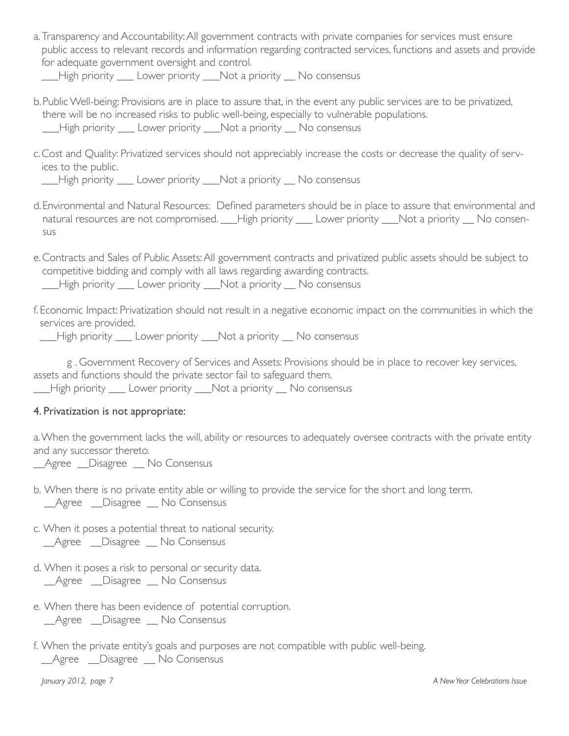a.Transparency and Accountability: All government contracts with private companies for services must ensure public access to relevant records and information regarding contracted services, functions and assets and provide for adequate government oversight and control.

High priority Lower priority \_\_\_Not a priority \_\_\_No consensus

- b.Public Well-being: Provisions are in place to assure that, in the event any public services are to be privatized, there will be no increased risks to public well-being, especially to vulnerable populations. \_\_\_High priority \_\_\_ Lower priority \_\_\_Not a priority \_\_ No consensus!!
- c.Cost and Quality: Privatized services should not appreciably increase the costs or decrease the quality of services to the public.

\_\_\_High priority \_\_\_ Lower priority \_\_\_Not a priority \_\_ No consensus!!

- d.Environmental and Natural Resources: Defined parameters should be in place to assure that environmental and natural resources are not compromised. High priority Lower priority \_\_Not a priority \_\_No consensus!!
- e.Contracts and Sales of Public Assets: All government contracts and privatized public assets should be subject to competitive bidding and comply with all laws regarding awarding contracts.

\_\_\_High priority \_\_\_ Lower priority \_\_\_Not a priority \_\_ No consensus!!

f. Economic Impact: Privatization should not result in a negative economic impact on the communities in which the services are provided.

\_\_\_High priority \_\_\_ Lower priority \_\_\_Not a priority \_\_ No consensus!!

g . Government Recovery of Services and Assets: Provisions should be in place to recover key services, assets and functions should the private sector fail to safeguard them.

\_\_\_High priority \_\_\_ Lower priority \_\_\_Not a priority \_\_ No consensus!!

#### 4. Privatization is not appropriate:

a. When the government lacks the will, ability or resources to adequately oversee contracts with the private entity and any successor thereto.

\_\_Agree \_\_Disagree \_\_ No Consensus

- b. When there is no private entity able or willing to provide the service for the short and long term. \_\_Agree !!\_\_Disagree \_\_ No Consensus
- c. When it poses a potential threat to national security. \_\_Agree !!\_\_Disagree \_\_ No Consensus
- d. When it poses a risk to personal or security data. \_\_Agree !!\_\_Disagree \_\_ No Consensus
- e. When there has been evidence of potential corruption. \_\_Agree !!\_\_Disagree \_\_ No Consensus
- f. When the private entity's goals and purposes are not compatible with public well-being. \_\_Agree !!\_\_Disagree \_\_ No Consensus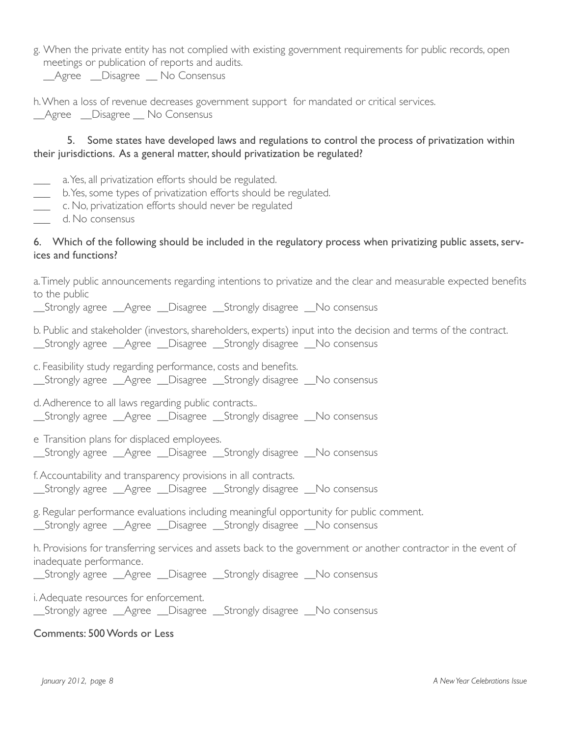g. When the private entity has not complied with existing government requirements for public records, open meetings or publication of reports and audits.

Agree Disagree No Consensus

h. When a loss of revenue decreases government support for mandated or critical services. Agree Disagree No Consensus

#### 5. Some states have developed laws and regulations to control the process of privatization within their jurisdictions. As a general matter, should privatization be regulated?

- \_\_\_\_ a. Yes, all privatization efforts should be regulated.
- \_\_\_!!! b. Yes, some types of privatization efforts should be regulated.
- \_\_\_!!!!c. No, privatization efforts should never be regulated
- \_\_\_!!!!d. No consensus

#### 6. Which of the following should be included in the regulatory process when privatizing public assets, services and functions?

a. Timely public announcements regarding intentions to privatize and the clear and measurable expected benefits to the public

\_\_Strongly agree \_\_Agree \_\_Disagree \_\_Strongly disagree \_\_No consensus

b. Public and stakeholder (investors, shareholders, experts) input into the decision and terms of the contract.

\_\_Strongly agree \_\_Agree \_\_Disagree \_\_Strongly disagree \_\_No consensus

c. Feasibility study regarding performance, costs and benefits. \_\_Strongly agree \_\_Agree \_\_Disagree \_\_Strongly disagree \_\_No consensus

d. Adherence to all laws regarding public contracts..

\_\_Strongly agree \_\_Agree \_\_Disagree \_\_Strongly disagree \_\_No consensus

e Transition plans for displaced employees. \_\_Strongly agree \_\_Agree \_\_Disagree \_\_Strongly disagree \_\_No consensus

f. Accountability and transparency provisions in all contracts.

\_\_Strongly agree \_\_Agree \_\_Disagree \_\_Strongly disagree \_\_No consensus

g. Regular performance evaluations including meaningful opportunity for public comment.

\_\_Strongly agree \_\_Agree \_\_Disagree \_\_Strongly disagree \_\_No consensus

h. Provisions for transferring services and assets back to the government or another contractor in the event of inadequate performance.

\_\_Strongly agree \_\_Agree \_\_Disagree \_\_Strongly disagree \_\_No consensus

i. Adequate resources for enforcement. \_\_Strongly agree \_\_Agree \_\_Disagree \_\_Strongly disagree \_\_No consensus

#### Comments: 500 Words or Less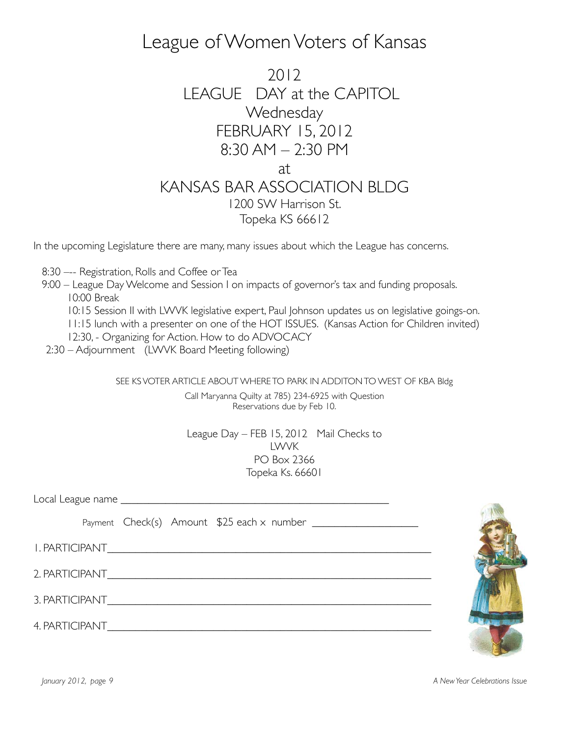## League of Women Voters of Kansas

2012 LEAGUE DAY at the CAPITOL **Wednesday** FEBRUARY 15, 2012 8:30 AM – 2:30 PM at KANSAS BAR ASSOCIATION BI DG 1200 SW Harrison St. Topeka KS 66612

In the upcoming Legislature there are many, many issues about which the League has concerns.

- 8:30 –-- Registration, Rolls and Coffee or Tea
- 9:00 League Day Welcome and Session I on impacts of governor's tax and funding proposals. 10:00 Break
	- 10:15 Session II with LWVK legislative expert, Paul Johnson updates us on legislative goings-on.
	- 11:15 lunch with a presenter on one of the HOT ISSUES. (Kansas Action for Children invited)
	- 12:30, Organizing for Action. How to do ADVOCACY
- 2:30 Adjournment (LWVK Board Meeting following)

SEE KS VOTER ARTICLE ABOUT WHERE TO PARK IN ADDITON TO WEST OF KBA Bldg

Call Maryanna Quilty at 785) 234-6925 with Question Reservations due by Feb 10.

League Day – FEB 15, 2012 Mail Checks to LWVK PO Box 2366 Topeka Ks. 66601

Local League name \_\_\_\_\_\_\_\_\_\_\_\_\_\_\_\_\_\_\_\_\_\_\_\_\_\_\_\_\_\_\_\_\_\_\_\_\_\_\_\_\_\_\_\_\_\_\_\_

Payment  $Check(s)$  Amount  $$25$  each x number  $\sqrt{2}$ 

1. PARTICIPANT\_\_\_\_\_\_\_\_\_\_\_\_\_\_\_\_\_\_\_\_\_\_\_\_\_\_\_\_\_\_\_\_\_\_\_\_\_\_\_\_\_\_\_\_\_\_\_\_\_\_\_\_\_\_\_\_\_\_

2. PARTICIPANT

3. PARTICIPANT\_\_\_\_\_\_\_\_\_\_\_\_\_\_\_\_\_\_\_\_\_\_\_\_\_\_\_\_\_\_\_\_\_\_\_\_\_\_\_\_\_\_\_\_\_\_\_\_\_\_\_\_\_\_\_\_\_\_

4. PARTICIPANT\_\_\_\_\_\_\_\_\_\_\_\_\_\_\_\_\_\_\_\_\_\_\_\_\_\_\_\_\_\_\_\_\_\_\_\_\_\_\_\_\_\_\_\_\_\_\_\_\_\_\_\_\_\_\_\_\_\_



*January 2012, page 9 A New Year Celebrations Issue*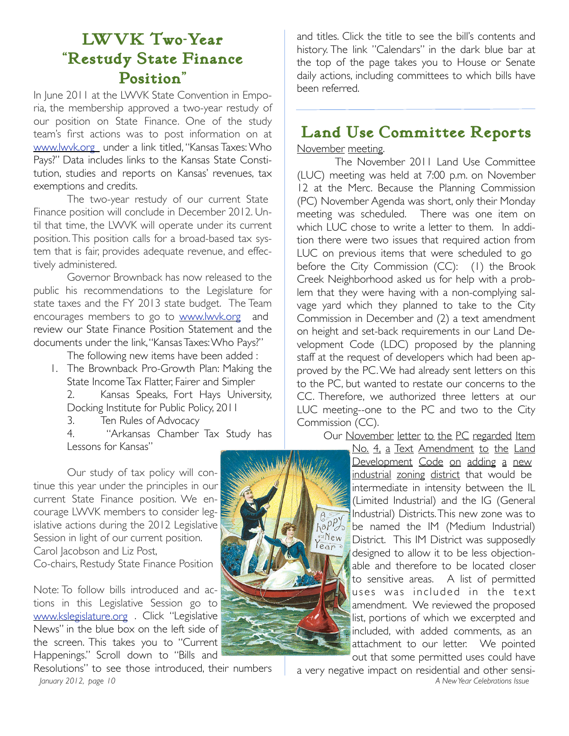## **LWVK Two-Year "Restudy State Finance Position"**

In June 2011 at the LWVK State Convention in Emporia, the membership approved a two-year restudy of our position on State Finance. One of the study team's first actions was to post information on at www.lwvk.org under a link titled, "Kansas Taxes: Who Pays?" Data includes links to the Kansas State Constitution, studies and reports on Kansas' revenues, tax exemptions and credits.

The two-year restudy of our current State Finance position will conclude in December 2012. Until that time, the LWVK will operate under its current position. This position calls for a broad-based tax system that is fair, provides adequate revenue, and effectively administered.

Governor Brownback has now released to the public his recommendations to the Legislature for state taxes and the FY 2013 state budget. The Team encourages members to go to www.lwvk.org and review our State Finance Position Statement and the documents under the link, "Kansas Taxes: Who Pays?"

The following new items have been added :

1. The Brownback Pro-Growth Plan: Making the State Income Tax Flatter, Fairer and Simpler

2. Kansas Speaks, Fort Hays University, Docking Institute for Public Policy, 2011

3. Ten Rules of Advocacy

4. "Arkansas Chamber Tax Study has Lessons for Kansas"

Our study of tax policy will continue this year under the principles in our current State Finance position. We encourage LWVK members to consider legislative actions during the 2012 Legislative Session in light of our current position. Carol Jacobson and Liz Post, Co-chairs, Restudy State Finance Position

Note: To follow bills introduced and actions in this Legislative Session go to www.kslegislature.org . Click "Legislative News" in the blue box on the left side of the screen. This takes you to "Current Happenings." Scroll down to "Bills and

Resolutions" to see those introduced, their numbers *January 2012, page 10 A New Year Celebrations Issue* 

and titles. Click the title to see the bill's contents and history. The link "Calendars" in the dark blue bar at the top of the page takes you to House or Senate daily actions, including committees to which bills have been referred.

## **Land Use Committee Reports**

November meeting.

The November 2011 Land Use Committee (LUC) meeting was held at 7:00 p.m. on November 12 at the Merc. Because the Planning Commission (PC) November Agenda was short, only their Monday meeting was scheduled. There was one item on which LUC chose to write a letter to them. In addition there were two issues that required action from LUC on previous items that were scheduled to go before the City Commission (CC): (1) the Brook Creek Neighborhood asked us for help with a problem that they were having with a non-complying salvage yard which they planned to take to the City Commission in December and (2) a text amendment on height and set-back requirements in our Land Development Code (LDC) proposed by the planning staff at the request of developers which had been approved by the PC. We had already sent letters on this to the PC, but wanted to restate our concerns to the CC. Therefore, we authorized three letters at our LUC meeting--one to the PC and two to the City Commission (CC).

Our November letter to the PC regarded Item

No. 4, a Text Amendment to the Land Development Code on adding a new industrial zoning district that would be intermediate in intensity between the IL (Limited Industrial) and the IG (General Industrial) Districts. This new zone was to be named the IM (Medium Industrial) District. This IM District was supposedly designed to allow it to be less objectionable and therefore to be located closer to sensitive areas. A list of permitted uses was included in the text amendment. We reviewed the proposed list, portions of which we excerpted and included, with added comments, as an attachment to our letter. We pointed out that some permitted uses could have

a very negative impact on residential and other sensi-

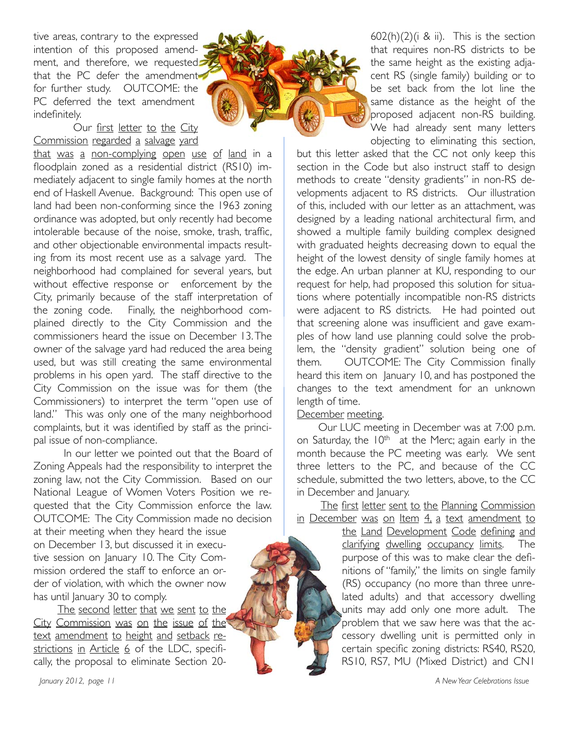tive areas, contrary to the expressed intention of this proposed amendment, and therefore, we requested that the PC defer the amendment for further study. OUTCOME: the PC deferred the text amendment indefinitely.

Our first letter to the City Commission regarded a salvage yard

that was a non-complying open use of land in a floodplain zoned as a residential district (RS10) immediately adjacent to single family homes at the north end of Haskell Avenue. Background: This open use of land had been non-conforming since the 1963 zoning ordinance was adopted, but only recently had become intolerable because of the noise, smoke, trash, traffic, and other objectionable environmental impacts resulting from its most recent use as a salvage yard. The neighborhood had complained for several years, but without effective response or enforcement by the City, primarily because of the staff interpretation of the zoning code. Finally, the neighborhood complained directly to the City Commission and the commissioners heard the issue on December 13. The owner of the salvage yard had reduced the area being used, but was still creating the same environmental problems in his open yard. The staff directive to the City Commission on the issue was for them (the Commissioners) to interpret the term "open use of land." This was only one of the many neighborhood complaints, but it was identified by staff as the principal issue of non-compliance.

In our letter we pointed out that the Board of Zoning Appeals had the responsibility to interpret the zoning law, not the City Commission. Based on our National League of Women Voters Position we requested that the City Commission enforce the law. OUTCOME: The City Commission made no decision

at their meeting when they heard the issue on December 13, but discussed it in executive session on January 10. The City Commission ordered the staff to enforce an order of violation, with which the owner now has until January 30 to comply.

The second letter that we sent to the City Commission was on the issue of the text amendment to height and setback restrictions in Article  $6$  of the LDC, specifically, the proposal to eliminate Section 20-





 $602(h)(2)(i \& ii)$ . This is the section that requires non-RS districts to be the same height as the existing adjacent RS (single family) building or to be set back from the lot line the same distance as the height of the proposed adjacent non-RS building. We had already sent many letters objecting to eliminating this section,

but this letter asked that the CC not only keep this section in the Code but also instruct staff to design methods to create "density gradients" in non-RS developments adjacent to RS districts. Our illustration of this, included with our letter as an attachment, was designed by a leading national architectural firm, and showed a multiple family building complex designed with graduated heights decreasing down to equal the height of the lowest density of single family homes at the edge. An urban planner at KU, responding to our request for help, had proposed this solution for situations where potentially incompatible non-RS districts were adjacent to RS districts. He had pointed out that screening alone was insufficient and gave examples of how land use planning could solve the problem, the "density gradient" solution being one of them.! ! OUTCOME: The City Commission finally heard this item on January 10, and has postponed the changes to the text amendment for an unknown length of time.

#### December meeting.

Our LUC meeting in December was at 7:00 p.m. on Saturday, the  $10<sup>th</sup>$  at the Merc; again early in the month because the PC meeting was early. We sent three letters to the PC, and because of the CC schedule, submitted the two letters, above, to the CC in December and January.

The first letter sent to the Planning Commission in December was on Item 4, a text amendment to

> the Land Development Code defining and clarifying dwelling occupancy limits. The purpose of this was to make clear the definitions of "family," the limits on single family (RS) occupancy (no more than three unrelated adults) and that accessory dwelling units may add only one more adult. The problem that we saw here was that the accessory dwelling unit is permitted only in certain specific zoning districts: RS40, RS20, RS10, RS7, MU (Mixed District) and CN1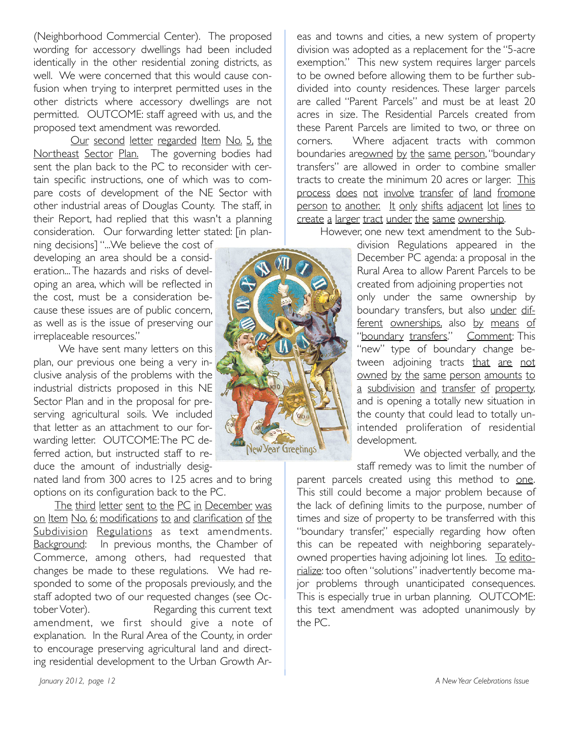(Neighborhood Commercial Center). The proposed wording for accessory dwellings had been included identically in the other residential zoning districts, as well. We were concerned that this would cause confusion when trying to interpret permitted uses in the other districts where accessory dwellings are not permitted. OUTCOME: staff agreed with us, and the proposed text amendment was reworded.

Our second letter regarded Item No. 5, the Northeast Sector Plan. The governing bodies had sent the plan back to the PC to reconsider with certain specific instructions, one of which was to compare costs of development of the NE Sector with other industrial areas of Douglas County. The staff, in their Report, had replied that this wasn't a planning consideration. Our forwarding letter stated: [in plan-

ning decisions] "...We believe the cost of developing an area should be a consideration... The hazards and risks of developing an area, which will be reflected in the cost, must be a consideration because these issues are of public concern, as well as is the issue of preserving our irreplaceable resources."

We have sent many letters on this plan, our previous one being a very inclusive analysis of the problems with the industrial districts proposed in this NE Sector Plan and in the proposal for preserving agricultural soils. We included that letter as an attachment to our forwarding letter. OUTCOME: The PC deferred action, but instructed staff to reduce the amount of industrially desig-

nated land from 300 acres to 125 acres and to bring options on its configuration back to the PC.

The third letter sent to the PC in December was on Item No. 6: modifications to and clarification of the Subdivision Regulations as text amendments. Background: In previous months, the Chamber of Commerce, among others, had requested that changes be made to these regulations. We had responded to some of the proposals previously, and the staff adopted two of our requested changes (see October Voter). The Regarding this current text amendment, we first should give a note of explanation. In the Rural Area of the County, in order to encourage preserving agricultural land and directing residential development to the Urban Growth Ar-



eas and towns and cities, a new system of property division was adopted as a replacement for the "5-acre exemption." This new system requires larger parcels to be owned before allowing them to be further subdivided into county residences. These larger parcels are called "Parent Parcels" and must be at least 20 acres in size. The Residential Parcels created from these Parent Parcels are limited to two, or three on corners. Where adjacent tracts with common boundaries areowned by the same person, "boundary transfers" are allowed in order to combine smaller tracts to create the minimum 20 acres or larger. This process does not involve transfer of land fromone person to another. It only shifts adjacent lot lines to create a larger tract under the same ownership.

However, one new text amendment to the Sub-

division Regulations appeared in the December PC agenda: a proposal in the Rural Area to allow Parent Parcels to be created from adjoining properties not only under the same ownership by boundary transfers, but also under different ownerships, also by means of "boundary transfers." Comment: This "new" type of boundary change between adjoining tracts that are not owned by the same person amounts to a subdivision and transfer of property, and is opening a totally new situation in the county that could lead to totally unintended proliferation of residential development.

We objected verbally, and the staff remedy was to limit the number of

parent parcels created using this method to one. This still could become a major problem because of the lack of defining limits to the purpose, number of times and size of property to be transferred with this "boundary transfer," especially regarding how often this can be repeated with neighboring separatelyowned properties having adjoining lot lines. To editorialize: too often "solutions" inadvertently become major problems through unanticipated consequences. This is especially true in urban planning. OUTCOME: this text amendment was adopted unanimously by the PC.